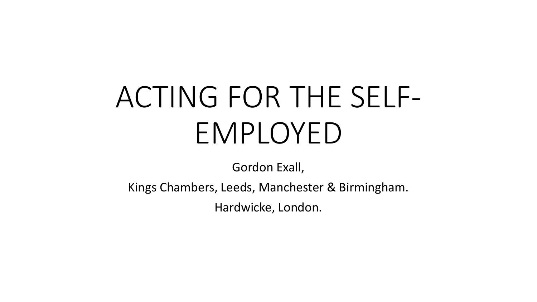# ACTING FOR THE SELF-EMPLOYED

Gordon Exall,

Kings Chambers, Leeds, Manchester & Birmingham.

Hardwicke, London.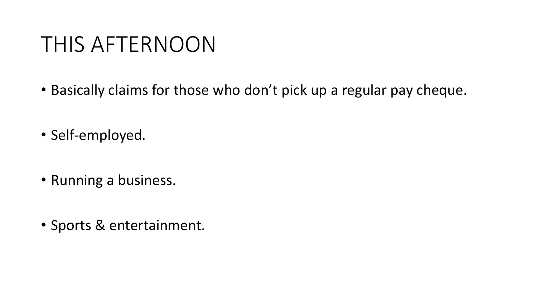#### THIS AFTERNOON

- Basically claims for those who don't pick up a regular pay cheque.
- Self-employed.
- Running a business.
- Sports & entertainment.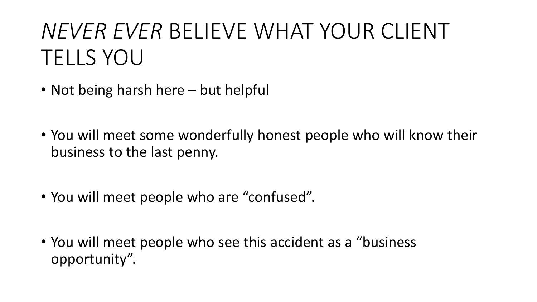## *NEVER EVER* BELIEVE WHAT YOUR CLIENT TELLS YOU

- Not being harsh here but helpful
- You will meet some wonderfully honest people who will know their business to the last penny.
- You will meet people who are "confused".
- You will meet people who see this accident as a "business opportunity".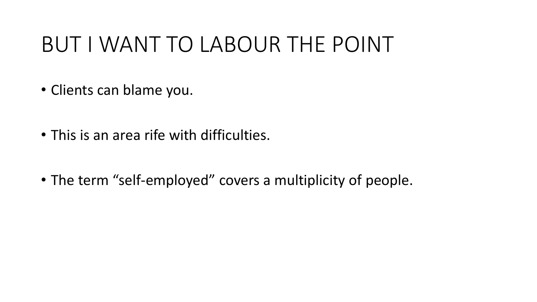### BUT I WANT TO LABOUR THE POINT

- Clients can blame you.
- This is an area rife with difficulties.
- The term "self-employed" covers a multiplicity of people.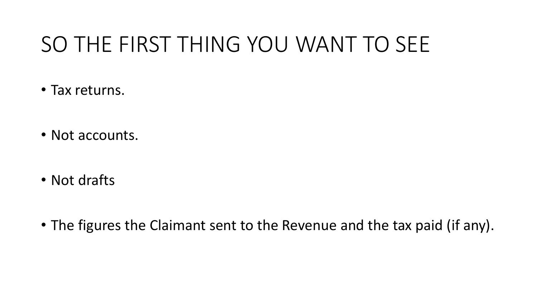### SO THE FIRST THING YOU WANT TO SEE

- Tax returns.
- Not accounts.
- Not drafts
- The figures the Claimant sent to the Revenue and the tax paid (if any).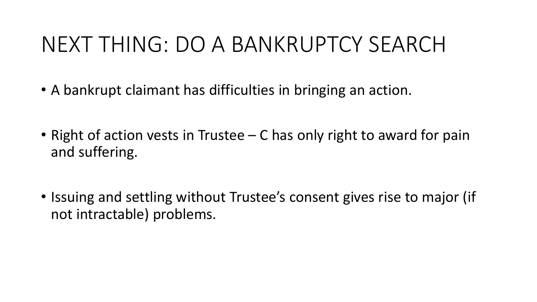### NEXT THING: DO A BANKRUPTCY SEARCH

- A bankrupt claimant has difficulties in bringing an action.
- Right of action vests in Trustee C has only right to award for pain and suffering.
- Issuing and settling without Trustee's consent gives rise to major (if not intractable) problems.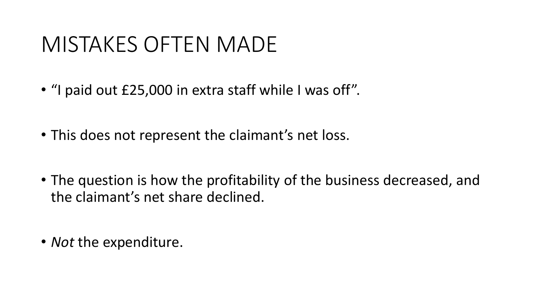#### MISTAKES OFTEN MADE

- "I paid out £25,000 in extra staff while I was off".
- This does not represent the claimant's net loss.
- The question is how the profitability of the business decreased, and the claimant's net share declined.
- *Not* the expenditure.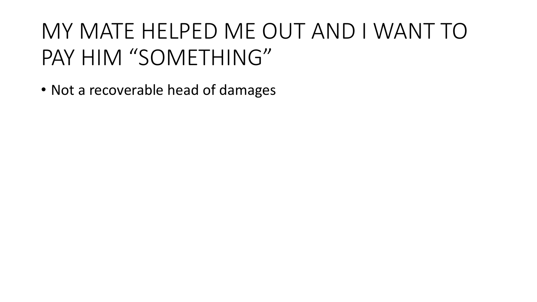# MY MATE HELPED ME OUT AND I WANT TO PAY HIM "SOMETHING"

• Not a recoverable head of damages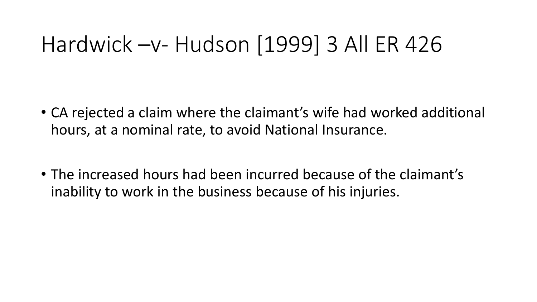### Hardwick –v- Hudson [1999] 3 All ER 426

- CA rejected a claim where the claimant's wife had worked additional hours, at a nominal rate, to avoid National Insurance.
- The increased hours had been incurred because of the claimant's inability to work in the business because of his injuries.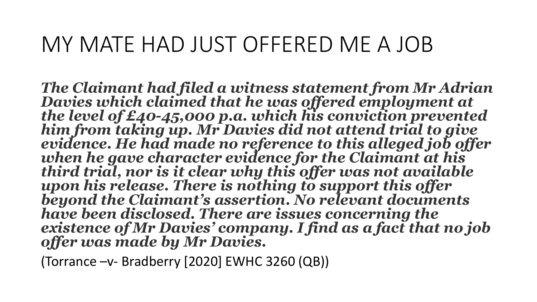#### MY MATE HAD JUST OFFERED ME A JOB

*The Claimant had filed a witness statement from Mr Adrian Davies which claimed that he was offered employment at*  him from taking up. Mr Davies did not attend trial to give *evidence. He had made no reference to this alleged job offer when he gave character evidence for the Claimant at his third trial, nor is it clear why this offer was not available upon his release. There is nothing to support this offer beyond the Claimant's assertion. No relevant documents have been disclosed. There are issues concerning the existence of Mr Davies' company. I find as a fact that no job offer was made by Mr Davies.*

(Torrance –v- Bradberry [2020] EWHC 3260 (QB))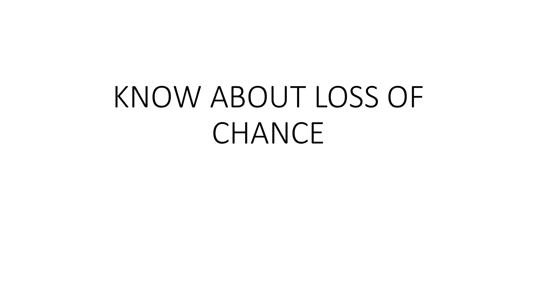# KNOW ABOUT LOSS OF CHANCE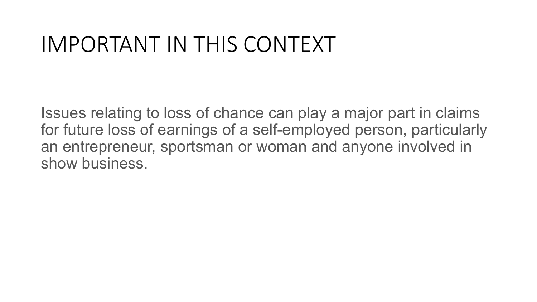#### IMPORTANT IN THIS CONTEXT

Issues relating to loss of chance can play a major part in claims for future loss of earnings of a self-employed person, particularly an entrepreneur, sportsman or woman and anyone involved in show business.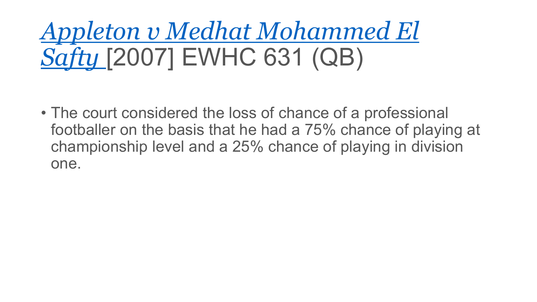# *[Appleton v Medhat Mohammed El](http://www.bailii.org/cgi-bin/markup.cgi?doc=/ew/cases/EWHC/QB/2007/631.html&query=appleton+and+medhat&method=boolean)  Safty* [2007] EWHC 631 (QB)

• The court considered the loss of chance of a professional footballer on the basis that he had a 75% chance of playing at championship level and a 25% chance of playing in division one.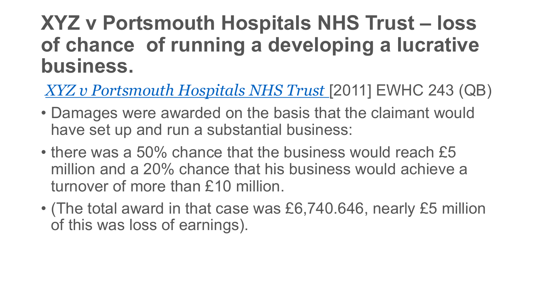#### **XYZ v Portsmouth Hospitals NHS Trust – loss of chance of running a developing a lucrative business.**

*[XYZ v Portsmouth Hospitals NHS Trust](http://www.bailii.org/cgi-bin/markup.cgi?doc=/ew/cases/EWHC/QB/2011/243.html&query=xyz+and+portsmouth&method=boolean)* [2011] EWHC 243 (QB)

- Damages were awarded on the basis that the claimant would have set up and run a substantial business:
- there was a 50% chance that the business would reach £5 million and a 20% chance that his business would achieve a turnover of more than £10 million.
- (The total award in that case was £6,740.646, nearly £5 million of this was loss of earnings).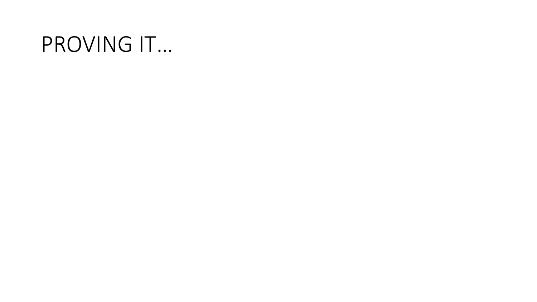#### PROVING IT…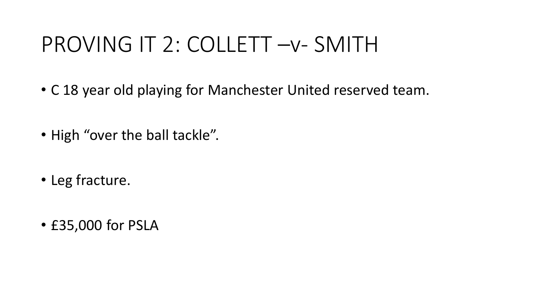### PROVING IT 2: COLLETT –v- SMITH

- C 18 year old playing for Manchester United reserved team.
- High "over the ball tackle".
- Leg fracture.
- £35,000 for PSLA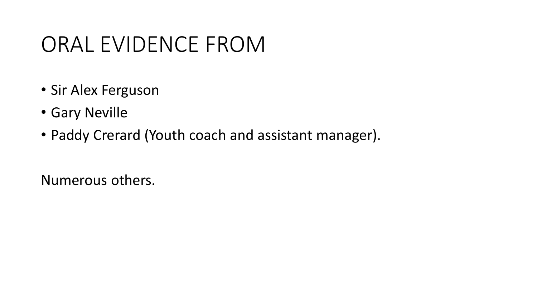### ORAL EVIDENCE FROM

- Sir Alex Ferguson
- Gary Neville
- Paddy Crerard (Youth coach and assistant manager).

Numerous others.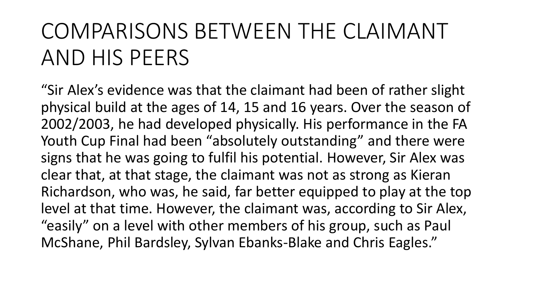## COMPARISONS BETWEEN THE CLAIMANT AND HIS PEERS

"Sir Alex's evidence was that the claimant had been of rather slight physical build at the ages of 14, 15 and 16 years. Over the season of 2002/2003, he had developed physically. His performance in the FA Youth Cup Final had been "absolutely outstanding" and there were signs that he was going to fulfil his potential. However, Sir Alex was clear that, at that stage, the claimant was not as strong as Kieran Richardson, who was, he said, far better equipped to play at the top level at that time. However, the claimant was, according to Sir Alex, "easily" on a level with other members of his group, such as Paul McShane, Phil Bardsley, Sylvan Ebanks-Blake and Chris Eagles."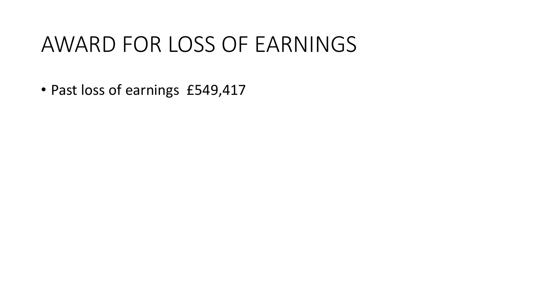#### AWARD FOR LOSS OF EARNINGS

• Past loss of earnings £549,417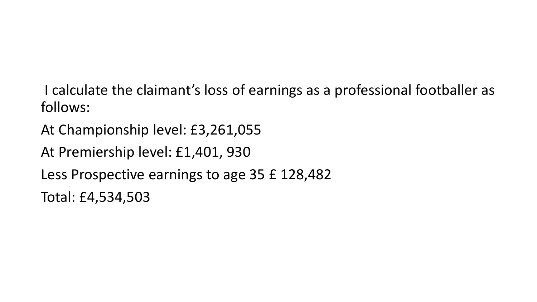I calculate the claimant's loss of earnings as a professional footballer as follows:

At Championship level: £3,261,055

At Premiership level: £1,401, 930

Less Prospective earnings to age 35 £ 128,482

Total: £4,534,503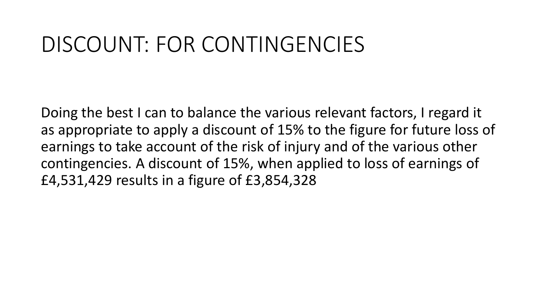#### DISCOUNT: FOR CONTINGENCIES

Doing the best I can to balance the various relevant factors, I regard it as appropriate to apply a discount of 15% to the figure for future loss of earnings to take account of the risk of injury and of the various other contingencies. A discount of 15%, when applied to loss of earnings of £4,531,429 results in a figure of £3,854,328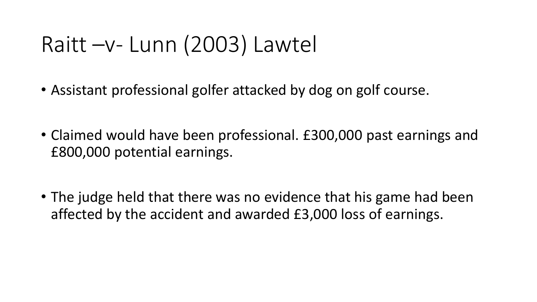#### Raitt –v- Lunn (2003) Lawtel

- Assistant professional golfer attacked by dog on golf course.
- Claimed would have been professional. £300,000 past earnings and £800,000 potential earnings.
- The judge held that there was no evidence that his game had been affected by the accident and awarded £3,000 loss of earnings.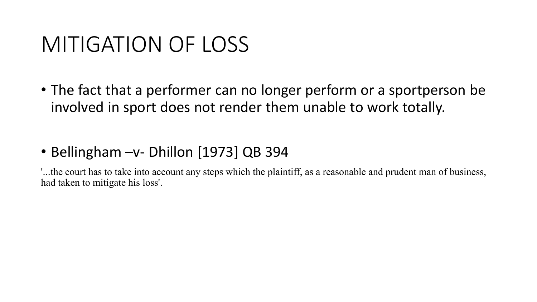#### MITIGATION OF LOSS

• The fact that a performer can no longer perform or a sportperson be involved in sport does not render them unable to work totally.

#### • Bellingham –v- Dhillon [1973] QB 394

'...the court has to take into account any steps which the plaintiff, as a reasonable and prudent man of business, had taken to mitigate his loss'.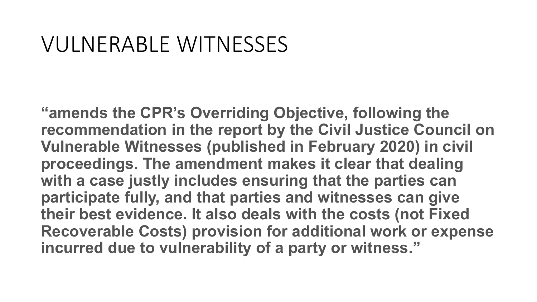#### VULNERABLE WITNESSES

**"amends the CPR's Overriding Objective, following the recommendation in the report by the Civil Justice Council on Vulnerable Witnesses (published in February 2020) in civil proceedings. The amendment makes it clear that dealing with a case justly includes ensuring that the parties can participate fully, and that parties and witnesses can give their best evidence. It also deals with the costs (not Fixed Recoverable Costs) provision for additional work or expense incurred due to vulnerability of a party or witness."**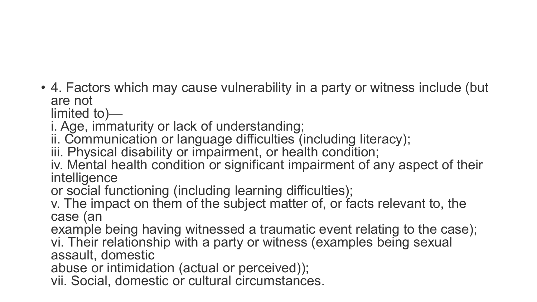• 4. Factors which may cause vulnerability in a party or witness include (but are not<br>limited to)—

i. Age, immaturity or lack of understanding;

ii. Communication or language difficulties (including literacy);

iii. Physical disability or impairment, or health condition;

iv. Mental health condition or significant impairment of any aspect of their intelligence

or social functioning (including learning difficulties);

v. The impact on them of the subject matter of, or facts relevant to, the case (an

example being having witnessed a traumatic event relating to the case); vi. Their relationship with a party or witness (examples being sexual assault, domestic

abuse or intimidation (actual or perceived));

vii. Social, domestic or cultural circumstances.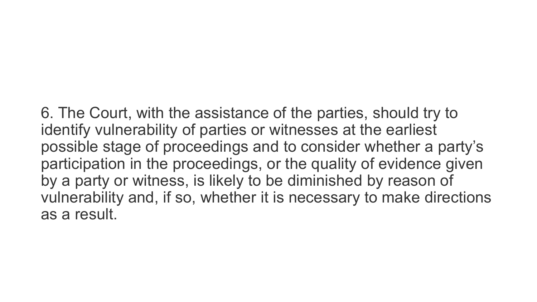6. The Court, with the assistance of the parties, should try to identify vulnerability of parties or witnesses at the earliest possible stage of proceedings and to consider whether a party's participation in the proceedings, or the quality of evidence given by a party or witness, is likely to be diminished by reason of vulnerability and, if so, whether it is necessary to make directions as a result.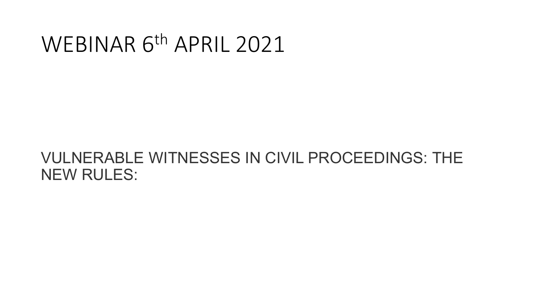#### WEBINAR 6th APRIL 2021

#### VULNERABLE WITNESSES IN CIVIL PROCEEDINGS: THE NEW RULES: